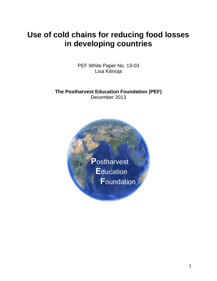# **Use of cold chains for reducing food losses in developing countries**

PEF White Paper No. 13-03 Lisa Kitinoja

**The Postharvest Education Foundation (PEF)** December 2013

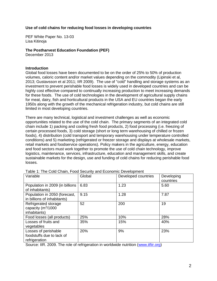# **Use of cold chains for reducing food losses in developing countries**

PEF White Paper No. 13-03 Lisa Kitinoja

# **The Postharvest Education Foundation (PEF)**

December 2013

# **Introduction**

Global food losses have been documented to be on the order of 25% to 50% of production volumes, caloric content and/or market values depending on the commodity (Lipinski et al, 2013; Gustavsson et al 2011; IIR 2009). The use of "cold" handling and storage systems as an investment to prevent perishable food losses is widely used in developed countries and can be highly cost effective compared to continually increasing production to meet increasing demands for these foods. The use of cold technologies in the development of agricultural supply chains for meat, dairy, fish and horticultural products in the USA and EU countries began the early 1950s along with the growth of the mechanical refrigeration industry, but cold chains are still limited in most developing countries.

There are many technical, logistical and investment challenges as well as economic opportunities related to the use of the cold chain. The primary segments of an integrated cold chain include 1) packing and cooling fresh food products, 2) food processing (i.e. freezing of certain processed foods, 3) cold storage (short or long term warehousing of chilled or frozen foods), 4) distribution (cold transport and temporary warehousing under temperature controlled conditions) and 5) marketing (refrigerated or freezer storage and displays at wholesale markets, retail markets and foodservice operations). Policy makers in the agriculture, energy, education and food sectors must work together to promote the use of cold chain technology, improve logistics, maintenance, services, infrastructure, education and management skills, and create sustainable markets for the design, use and funding of cold chains for reducing perishable food losses.

| Variable                                                               | Global | Developed countries | Developing<br>countries |
|------------------------------------------------------------------------|--------|---------------------|-------------------------|
| Population in 2009 (in billions<br>of inhabitants)                     | 6.83   | 1.23                | 5.60                    |
| Population in 2050 (forecast,<br>in billions of inhabitants)           | 9.15   | 1.28                | 7.87                    |
| Refrigerated storage<br>capacity (m <sup>3</sup> /1000<br>inhabitants) | 52     | 200                 | 19                      |
| Food losses (all products)                                             | 25%    | 10%                 | 28%                     |
| Losses of fruits and<br>vegetables                                     | 35%    | 15%                 | 40%                     |
| Losses of perishable<br>foodstuffs due to lack of<br>refrigeration     | 20%    | 9%                  | 23%                     |

Table 1: The Cold Chain, Food Security and Economic Development

Source: IIR. 2009. The role of refrigeration in worldwide nutrition [\(www.iifiir.org\)](http://www.iifiir.org/)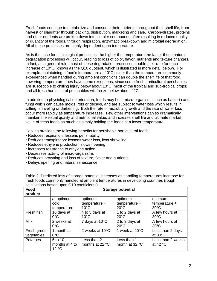Fresh foods continue to metabolize and consume their nutrients throughout their shelf life, from harvest or slaughter through packing, distribution, marketing and sale. Carbohydrates, proteins and other nutrients are broken down into simpler compounds often resulting in reduced quality or quantity of the foods, through respiration, enzymatic breakdown and microbial degradation. All of these processes are highly dependent upon temperature.

As is the case for all biological processes, the higher the temperature the faster these natural degradation processes will occur, leading to loss of color, flavor, nutrients and texture changes. In fact, as a general rule, most of these degradation processes double their rate for each increase of 10°C (known as the Q10 quotient, which is illustrated in more detail below). For example, maintaining a food's temperature at 10°C colder than the temperature commonly experienced when handled during ambient conditions can double the shelf life of that food. Lowering temperature does have some exceptions, since some fresh horticultural perishables are susceptible to chilling injury below about 10°C (most of the tropical and sub-tropical crops) and all fresh horticultural perishables will freeze below about -1°C.

In addition to physiological deterioration, foods may host micro-organisms such as bacteria and fungi which can cause molds, rots or decays, and are subject to water loss which results in wilting, shriveling or darkening. Both the rate of microbial growth and the rate of water loss occur more rapidly as temperature increases. Few other interventions can so dramatically maintain the visual quality and nutritional value, and increase shelf life and ultimate market value of fresh foods as much as simply holding the foods at a lower temperature.

Cooling provides the following benefits for perishable horticultural foods:

- Reduces respiration: lessens perishability
- Reduces transpiration: lessens water loss, less shriveling
- Reduces ethylene production: slows ripening
- Increases resistance to ethylene action
- Decreases activity of micro-organisms
- Reduces browning and loss of texture, flavor and nutrients
- Delays ripening and natural senescence

| Food<br>product           | <b>Storage potential</b>           |                                              |                                              |                                              |
|---------------------------|------------------------------------|----------------------------------------------|----------------------------------------------|----------------------------------------------|
|                           | at optimum<br>cold<br>temperature  | optimum<br>$temperature +$<br>$10^{\circ}$ C | optimum<br>$temperature +$<br>$20^{\circ}$ C | optimum<br>$temperature +$<br>$30^{\circ}$ C |
| Fresh fish                | 10 days at<br>$0^{\circ}$ C        | 4 to 5 days at<br>$10^{\circ}$ C             | 1 to 2 days at<br>$20^{\circ}$ C             | A few hours at<br>$30^{\circ}$ C             |
| <b>Milk</b>               | 2 weeks at<br>$0^{\circ}$ C        | 7 days at 10°C                               | 2 to 3 days at<br>$20^{\circ}$ C             | A few hours at<br>$30^{\circ}$ C             |
| Fresh green<br>vegetables | 1 month at<br>$0^{\circ}$ C        | 2 weeks at 10°C                              | 1 week at 20°C                               | Less than 2 days<br>at $30^{\circ}$ C        |
| Potatoes                  | 5 to 10<br>months at 4 to<br>12 °C | Less than 2<br>months at 22 °C°              | Less than 1<br>month at 32 °C                | Less than 2 weeks<br>at 42 $\degree$ C       |

Table 2: Predicted loss of storage potential increases as handling temperatures increase for fresh foods commonly handled at ambient temperatures in developing countries (rough calculations based upon Q10 coefficients)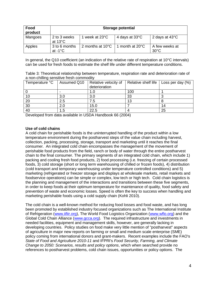| Food<br>product | <b>Storage potential</b>            |                            |                 |                                  |
|-----------------|-------------------------------------|----------------------------|-----------------|----------------------------------|
| Mangoes         | 2 to 3 weeks<br>at $13^{\circ}$ C   | 1 week at 23°C             | 4 days at 33°C  | 2 days at 43°C                   |
| Apples          | 3 to 6 months<br>at -1 $^{\circ}$ C | 2 months at $10^{\circ}$ C | 1 month at 20°C | A few weeks at<br>$30^{\circ}$ C |

In general, the Q10 coefficient (an indication of the relative rate of respiration at 10°C intervals) can be used for fresh foods to estimate the shelf life under different temperature conditions.

Table 3: Theoretical relationship between temperature, respiration rate and deterioration rate of a non-chilling sensitive fresh commodity

| Temperature °C | Assumed Q10 | Relative velocity of<br>deterioration | Relative shelf life | Loss per day $(\%)$ |
|----------------|-------------|---------------------------------------|---------------------|---------------------|
|                |             | I.C                                   | 100                 |                     |
| 10             | 3.0         | 3.0                                   | 33                  |                     |
| 20             | 2.5         | 7.5                                   | 13                  |                     |
| 30             | 2.0         | 15.0                                  |                     | 14                  |
| 40             | 1.5         | 22.5                                  |                     | 25                  |

Developed from data available in USDA Handbook 66 (2004)

# **Use of cold chains**

A cold chain for perishable foods is the uninterrupted handling of the product within a low temperature environment during the postharvest steps of the value chain including harvest, collection, packing, processing, storage, transport and marketing until it reaches the final consumer. An integrated cold chain encompasses the management of the movement of perishable food products from the field, ranch or body of water through the entire postharvest chain to the final consumer. The primary segments of an integrated cold chain, which include 1) packing and cooling fresh food products, 2) food processing (i.e. freezing of certain processed foods, 3) cold storage (short or long term warehousing of chilled or frozen foods), 4) distribution (cold transport and temporary warehousing under temperature controlled conditions) and 5) marketing (refrigerated or freezer storage and displays at wholesale markets, retail markets and foodservice operations) can be simple or complex, low tech or high tech. Cold chain logistics is the planning and management of the interactions and transitions between these five segments, in order to keep foods at their optimum temperature for maintenance of quality, food safety and prevention of waste and economic losses. Speed is often the key to success when handling and marketing perishable foods using a cold supply chain (Kohli 2010).

The cold chain is a well-known method for reducing food losses and food waste, and has long been promoted by established industry focused organizations such as The International Institute of Refrigeration [\(www.iifiir.org\)](http://www.iifiir.org/), The World Food Logistics Organization [\(www.wflo.org\)](http://www.wflo.org/) and the Global Cold Chain Alliance [\(www.gcca.org\)](http://www.gcca.org/). The required infrastructure and investments in needed facilities, equipment and management skills, however, are generally lacking in developing countries. Policy studies on food make very little mention of "postharvest" aspects of agriculture in major new reports on farming or small and medium scale enterprise (SME) policy coming from international donors and grant-makers. Recent examples include the FAO's *State of Food and Agriculture 2010-11* and IFPRI's *Food Security, Farming, and Climate Change to 2050: Scenarios, results and policy options*, which when searched provide no references to postharvest problems, cold chain issues, opportunities or policy options. The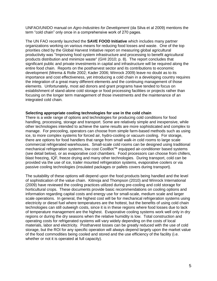UNFAO/UNIDO manual on *Agro-Industries for Development* (da Silva et al 2009) mentions the term "cold chain" only once in a comprehensive work of 270 pages.

The UN FAO recently launched the **SAVE FOOD Initiative** which includes many partner organizations working on various means for reducing food losses and waste. One of the top priorities cited by the Global Harvest Initiative report on measuring global agricultural productivity was "Improving food system infrastructure and processing to benefit agricultural products distribution and minimize waste" (GHI 2010; p. 8). The report concludes that significant public and private investments in capital and infrastructure will be required along the entire food chain. Reports on the postharvest sector and its contributions to economic development (Mrema & Rolle 2002; Kader 2006; Winrock 2009) leave no doubt as to its importance and cost effectiveness, yet introducing a cold chain in a developing country requires the integration of a great many different elements and the continuing management of those elements. Unfortunately, most aid donors and grant programs have tended to focus on establishment of stand-alone cold storage or food processing facilities or projects rather than focusing on the longer term management of those investments and the maintenance of an integrated cold chain.

#### **Selecting appropriate cooling technologies for use in the cold chain**

There is a wide range of options and technologies for producing cold conditions for food handling, processing, storage and transport. Some are relatively simple and inexpensive, while other technologies intended to achieve the same results are more sophisticated and complex to manage. For precooling, operators can choose from simple farm-based methods such as using ice, to more complex systems for forced air, hydro-cooling or vacuum cooling. For storage, there are options for food handlers that range from small walk-in cold rooms to large scale commercial refrigerated warehouses. Small-scale cold rooms can be designed using traditional mechanical refrigeration systems, low cost CoolBot™ equipped air-conditioner based systems (see detail below), or as evaporative cool chambers. Food processors can choose from chillers, blast freezing, IQF, freeze drying and many other technologies. During transport, cold can be provided via the use of ice, trailer mounted refrigeration systems, evaporative coolers or via passive cooling technologies (insulated packages or pallets covers during transport).

The suitability of these options will depend upon the food products being handled and the level of sophistication of the value chain. Kitinoja and Thompson (2010) and Winrock International (2009) have reviewed the cooling practices utilized during pre-cooling and cold storage for horticultural crops. These documents provide basic recommendations on cooling options and information regarding capital costs and energy use for small-scale, medium scale and larger scale operations. In general, the highest cost will be for mechanical refrigeration systems using electricity or diesel fuel where temperatures are the hottest, but the benefits of using cold chain technologies can still outweigh costs, since it is in these regions where food losses due to lack of temperature management are the highest. Evaporative cooling systems work well only in dry regions or during the dry seasons when the relative humidity is low. Total construction and operating costs for refrigerated systems will vary widely depending on the costs of local materials, labor and electricity. Postharvest losses can be greatly reduced with the use of cold storage, but the ROI for any specific operation will always depend largely upon the market value of the food commodities being cooled and stored and the use efficiency of the facility (i.e. whether or not it is operated at full capacity).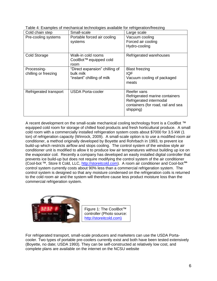|  | Table 4: Examples of mechanical technologies available for refrigeration/freezing |
|--|-----------------------------------------------------------------------------------|
|  |                                                                                   |

| Cold chain step                     | Small-scale                                                               | Large scale                                                                                                                 |
|-------------------------------------|---------------------------------------------------------------------------|-----------------------------------------------------------------------------------------------------------------------------|
| Pre-cooling systems                 | Portable forced air cooling<br>systems                                    | Vacuum cooling<br>Forced air cooling<br>Hydro-cooling                                                                       |
| <b>Cold Storage</b>                 | Walk-in cold rooms<br>CoolBot™ equipped cold<br>room                      | Refrigerated warehouses                                                                                                     |
| Processing-<br>chilling or freezing | "Direct expansion" chilling of<br>bulk milk<br>"instant" chilling of milk | <b>Blast freezing</b><br><b>IQF</b><br>Vacuum cooling of packaged<br>meats                                                  |
| Refrigerated transport              | <b>USDA Porta-cooler</b>                                                  | Reefer vans<br>Refrigerated marine containers<br>Refrigerated intermodal<br>containers (for road, rail and sea<br>shipping) |

A recent development on the small-scale mechanical cooling technology front is a CoolBot ™ equipped cold room for storage of chilled food products and fresh horticultural produce.A small cold room with a commercially installed refrigeration system costs about \$7000 for 3.5 kW (1 ton) of refrigeration capacity (Winrock, 2009). A small-scale option is to use a modified room air conditioner, a method originally developed by Boyette and Rohrbach in 1993, to prevent ice build-up which restricts airflow and stops cooling. The control system of the window style air conditioner unit is modified to allow it to produce low air temperatures without building up ice on the evaporator coil. Recently a company has developed an easily installed digital controller that prevents ice build-up but does not require modifying the control system of the air conditioner (Cool-bot ™, Store It Cold, LLC, [http://storeitcold.com\)](http://storeitcold.com/). A room air conditioner and Cool-bot **tm** control system currently costs about 90% less than a commercial refrigeration system. The control system is designed so that any moisture condensed on the refrigeration coils is returned to the cold room air and the system will therefore cause less product moisture loss than the commercial refrigeration system.



Figure 1: The CoolBot™ controller (Photo source: [http://storeitcold.com\)](http://storeitcold.com/)

For refrigerated transport, small-scale producers and marketers can use the USDA Portacooler. Two types of portable pre-coolers currently exist and both have been tested extensively (Boyette, no date; USDA 1993). They can be self-constructed at relatively low cost, and complete plans are available on the internet on the NCSU website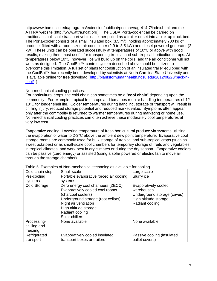http://www.bae.ncsu.edu/programs/extension/publicat/postharv/ag-414-7/index.html and the ATTRA website [\(http://www.attra.ncat.org\)](http://www.attra.ncat.org/). The USDA Porta-cooler can be carried on traditional small scale transport vehicles, either pulled as a trailer or set into a pick-up truck bed. The Porta-cooler consists of a small insulated box (3.5 m<sup>3</sup>), holding approximately 700 kg of produce, fitted with a room sized air conditioner (2.9 to 3.5 kW) and diesel-powered generator (2 kW). These units can be operated successfully at temperatures of 10°C or above with good results, making them most useful for transporting tropical and sub-tropical horticultural crops. At temperatures below 10°C, however, ice will build up on the coils, and the air conditioner will not work as designed. The CoolBot™ control system described above could be utilized to overcome this limitation. A full set of plans for construction of an insulated trailer equipped with the CoolBot™ has recently been developed by scientists at North Carolina State University and is available online for free download [\(http://plantsforhumanhealth.ncsu.edu/2012/08/20/pack-n](http://plantsforhumanhealth.ncsu.edu/2012/08/20/pack-n-cool/)[cool/](http://plantsforhumanhealth.ncsu.edu/2012/08/20/pack-n-cool/) ).

# Non-mechanical cooling practices:

For horticultural crops, the cold chain can sometimes be a "**cool chain**" depending upon the commodity. For example, tropical fruit crops and tomatoes require handling temperatures of 12- 18°C for longer shelf life. Colder temperatures during handling, storage or transport will result in chilling injury, reduced storage potential and reduced market value. Symptoms often appear only after the commodity is returned to warmer temperatures during marketing or home use. Non-mechanical cooling practices can often achieve these moderately cool temperatures at very low cost.

Evaporative cooling: Lowering temperature of fresh horticultural produce via systems utilizing the evaporation of water to 2-3°C above the ambient dew point temperature. Evaporative cool storage rooms are commonly used for bulk storage of tropical and sub-tropical crops (such as sweet potatoes) or as small-scale cool chambers for temporary storage of fruits and vegetables in tropical climates, and work best in dry climates or during the dry season. Evaporative coolers can be passive (zero energy) or assisted (using a solar powered or electric fan to move air through the storage chamber).

| Cold chain step                         | Small-scale                                                                                                                                                                                                            | Large scale                                                                                                   |
|-----------------------------------------|------------------------------------------------------------------------------------------------------------------------------------------------------------------------------------------------------------------------|---------------------------------------------------------------------------------------------------------------|
| Pre-cooling<br>systems                  | Portable evaporative forced air cooling<br>systems                                                                                                                                                                     | Slurry ice                                                                                                    |
| <b>Cold Storage</b>                     | Zero energy cool chambers (ZECC)<br>Evaporatively cooled cool rooms<br>(charcoal coolers)<br>Underground storage (root cellars)<br>Night air ventilation<br>High altitude storage<br>Radiant cooling<br>Solar chillers | Evaporatively cooled<br>warehouses<br>Underground storage (caves)<br>High altitude storage<br>Radiant cooling |
| Processing-<br>chilling and<br>freezing | None available                                                                                                                                                                                                         | None available                                                                                                |
| Refrigerated<br>transport               | Evaporatively cooled insulated<br>transport boxes or trailers                                                                                                                                                          | Passive cooling (insulated<br>pallet covers)                                                                  |

Table 5: Examples of Non-mechanical technologies available for cooling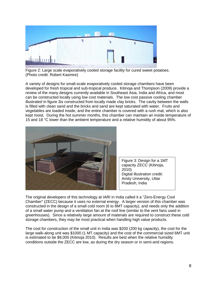

Figure 2: Large scale evaporatively cooled storage facility for cured sweet potatoes. (Photo credit: Robert Kasmire)

A variety of designs for small-scale evaporatively cooled storage chambers have been developed for fresh tropical and sub-tropical produce. Kitinoja and Thompson (2009) provide a review of the many designs currently available in Southeast Asia, India and Africa, and most can be constructed locally using low cost materials. The low cost passive cooling chamber illustrated in figure 3is constructed from locally made clay bricks. The cavity between the walls is filled with clean sand and the bricks and sand are kept saturated with water. Fruits and vegetables are loaded inside, and the entire chamber is covered with a rush mat, which is also kept moist. During the hot summer months, this chamber can maintain an inside temperature of 15 and 18 °C lower than the ambient temperature and a relative humidity of about 95%.



Figure 3: Design for a 1MT capacity ZECC (Kitinoja, 2010) Digital illustration credit: Amity University, Uttar Pradesh, India

The original developers of this technology at IARI in India called it a "Zero-Energy Cool Chamber" (ZECC) because it uses no external energy. A larger version of this chamber was constructed in the design of a small cold room (6 to 8MT capacity), and needs only the addition of a small water pump and a ventilation fan at the roof line (similar to the vent fans used in greenhouses). Since a relatively large amount of materials are required to construct these cold storage chambers, they may be most practical when handling high value products.

The cost for construction of the small unit in India was \$200 (200 kg capacity), the cost for the large walk-along unit was \$1000 (1 MT capacity) and the cost of the commercial sized 6MT unit is estimated to be \$8,000 (Kitinoja 2010). Results are best when the relative humidity conditions outside the ZECC are low, as during the dry season or in semi-arid regions.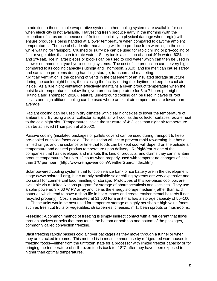In addition to these simple evaporative systems, other cooling systems are available for use when electricity is not available. Harvesting fresh produce early in the morning (with the exception of citrus crops because of fruit susceptibility to physical damage when turgid) will ensure produce is being handled at a lower temperature when compared to daytime ambient temperatures. The use of shade after harvesting will keep produce from warming in the sun while waiting for transport. Crushed or slurry ice can be used for rapid chilling or pre-cooling of fish or vegetables that can tolerate water. Slurry ice is a solution of about 40% water, 60% ice and 1% salt. Ice in large pieces or blocks can be used to cool water which can then be used in shower or immersion type hydro-cooling systems. The cost of ice production can be very high compared to its cooling capacity (Kitinoja and Thompson, 2010), and ice melt can cause safety and sanitation problems during handling, storage, transport and marketing. Night air ventilation is the opening of vents in the basement of an insulated storage structure during the cooler night hours, then closing the facility during the daytime to keep the cool air inside. As a rule night ventilation effectively maintains a given product temperature when the outside air temperature is below the given product temperature for 5 to 7 hours per night (Kitinoja and Thompson 2010). Natural underground cooling can be used in caves or root cellars and high altitude cooling can be used where ambient air temperatures are lower than average.

Radiant cooling can be used in dry climates with clear night skies to lower the temperature of ambient air. By using a solar collector at night, air will cool as the collector surfaces radiate heat to the cold night sky. Temperatures inside the structure of 4°C less than night air temperature can be achieved (Thompson et al 2002).

Passive cooling (insulated packages or pallets covers) can be used during transport to keep pre-cooled or chilled foods cold. The insulation will act to prevent rapid rewarming, but has a limited range, and the distance or time that foods can be kept cool will depend on the outside air temperature and desired product temperature upon delivery. RefrigiWear is one of the companies that has developed and markets this kind of products, and claims they can maintain product temperatures for up to 12 hours when properly used with temperature changes of less than 1°C per hour. (http://www.refrigiwear.com/WeatherGuard/index.htm)

Solar powered cooling systems that function via ice bank or ice battery are in the development stage (www.solarchill.org), but currently available solar chilling systems are very expensive and too small for commercial food handling or storage. Prototypes of this ice-based cool box are available via a United Nations program for storage of pharmaceuticals and vaccines. They use a solar powered 3 x 60 W PV array and ice as the energy storage medium (rather than acid batteries which tend to have a short life in hot climates and create environmental hazards if not recycled properly). Cost is estimated at \$1,500 for a unit that has a storage capacity of 50–100 L. These units would be best used for temporary storage of highly perishable high value foods such as fresh cut fruits or vegetables, strawberries, cheeses, milk, bean sprouts or mushrooms.

**Freezing:** A common method of freezing is simply indirect contact with a refrigerant that flows through shelves or belts that may touch the bottom or both top and bottom of the packages, commonly called convection freezing.

Blast freezing rapidly passes cold air over packages as they move through a tunnel or when they are stacked in rooms. This method is in most common use by refrigerated warehouses for freezing foods—either from the unfrozen state for a processor with limited freezer capacity or for bringing the temperature of still-frozen foods back to -18°C after they have been exposed to higher than optimal temperatures.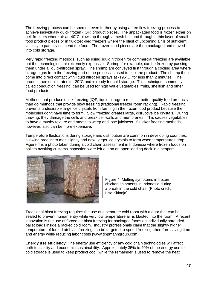The freezing process can be sped up even further by using a free flow freezing process to achieve individually quick frozen (IQF) product pieces. The unpackaged food is frozen either on belt freezers where air at -40°C blows up through a mesh belt and through a thin layer of small food product pieces or in fluidized-bed freezers where the blast of upcoming air is of sufficient velocity to partially suspend the food. The frozen food pieces are then packaged and moved into cold storage.

Very rapid freezing methods, such as using liquid nitrogen for commercial freezing are available but the technologies are extremely expensive. Shrimp, for example, can be frozen by passing them under a liquid-nitrogen spray. The shrimp are conveyed first through a cooling area where nitrogen gas from the freezing part of the process is used to cool the product. The shrimp then come into direct contact with liquid nitrogen sprays at -195°C, for less than 2 minutes. The product then equilibrates to -29°C and is ready for cold storage. This technique, commonly called conduction freezing, can be used for high value vegetables, fruits, shellfish and other food products.

Methods that produce quick freezing (IQF, liquid nitrogen) result in better quality food products than do methods that provide slow freezing (traditional freezer room racking). Rapid freezing prevents undesirable large ice crystals from forming in the frozen food product because the molecules don't have time to form. Slow freezing creates large, disruptive ice crystals. During thawing, they damage the cells and break cell walls and membranes. This causes vegetables to have a mushy texture and meats to weep and lose juiciness. Quicker freezing methods, however, also can be more expensive.

Temperature fluctuations during storage and distribution are common in developing countries, allowing product to melt slightly and new, larger ice crystals to form when temperatures drop. Figure 4 is a photo taken during a cold chain assessment in Indonesia where frozen foods on pallets awaiting customs inspection were left out on an open loading dock in a seaport.



Figure 4: Melting symptoms in frozen chicken shipments in Indonesia during a break in the cold chain (Photo credit: Lisa Kitinoja)

Traditional blast freezing requires the use of a separate cold room with a door that can be sealed to prevent human entry while very low temperature air is blasted into the room. A recent innovation is the use of forced air blast freezing for packaged foods on individually shrouded pallet loads inside a racked cold room. Industry professionals claim that the slightly higher temperature of forced air blast freezing can be targeted to speed freezing, therefore saving time and energy while reducing labor costs (www.tippmanngroup.com).

**Energy use efficiency:** The energy use efficiency of any cold chain technologies will affect both feasibility and economic sustainability. Approximately 35% to 40% of the energy use for cold storage is used to keep product cool, while the remainder is used to remove the heat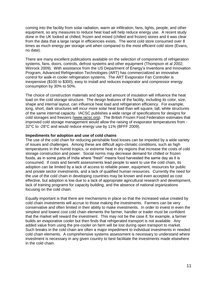coming into the facility from solar radiation, warm air infiltration, fans, lights, people, and other equipment, so any measures to reduce heat load will help reduce energy use. A recent study done in the UK looked at chilled, frozen and mixed (chilled and frozen) stores and it was clear from the data that a large range in efficiencies exists. The worst cold store consumed over 8 times as much energy per storage unit when compared to the most efficient cold store (Evans, no date).

There are many excellent publications available on the selection of components of refrigeration systems, fans, doors, controls, defrost systems and other equipment (Thompson et al 2002; Winrock 2009). With assistance from the US Department of Energy's Inventions and Innovation Program, Advanced Refrigeration Technologies (ART) has commercialized an innovative control for walk-in cooler refrigeration systems. The ART Evaporator Fan Controller is inexpensive (\$100 to \$300), easy to install and reduces evaporator and compressor energy consumption by 30% to 50%.

The choice of construction materials and type and amount of insulation will influence the heat load on the cold storage structure. The design features of the facility, including its color, size, shape and internal layout, can influence heat load and refrigeration efficiency. For example, long, short, dark structures will incur more solar heat load than will square, tall, white structures of the same internal capacity. IACSC publishes a wide range of specifications for designs for cold storages and freezers [\(www.iacsc.org\)](http://www.iacsc.org/). The British Frozen Food Federation estimates that improved cold storage management would allow the raising of evaporator temperatures from - 32°C to -28°C and would reduce energy use by 11% (BFFF 2009).

#### **Impediments for adoption and use of cold chains**

The use of the cold chain for reducing perishable food losses can be impeded by a wide variety of issues and challenges. Among these are difficult agro-climatic conditions, such as high temperatures in the humid tropics, or extreme heat in dry regions that increase the costs of cold storage construction and power. Social norms may decrease demand for chilled or frozen foods, as in some parts of India where "fresh" means food harvested the same day as it is consumed. If costs and benefit assessments lead people to want to use the cold chain, its adoption can be limited by a lack of access to reliable power, equipment, resources for public and private sector investments, and a lack of qualified human resources. Currently the need for the use of the cold chain in developing countries may be known and even accepted as cost effective, but adoption is low due to a lack of appropriate agricultural research and development, lack of training programs for capacity building, and the absence of national organizations focusing on the cold chain.

Equally important is that there are mechanisms in place so that the increased value created by cold chain investments will accrue to those making the investments. Farmers can be very conservative and often limited in their ability to make investments. In order to invest in even the simplest and lowest cost cold chain elements the farmer, handler or trader must be confident that the market will reward the investment. This may not be the case if, for example, a farmer builds an evaporative cooler but then finds that refrigerated transport is not available. Any added value from using the pre-cooler on farm will be lost during open transport to market. Such breaks in the cold chain are often a major impediment to individual investments in needed cold chain elements. A comprehensive systems assessment is necessary to understand where investment is necessary in any given country to best facilitate the investments made elsewhere in the cold chain.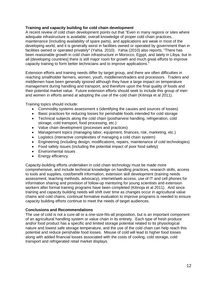# **Training and capacity building for cold chain development**

A recent review of cold chain development points out that "Even in many regions or sites where adequate infrastructure is available, overall knowledge of proper cold chain practices, maintenance (including availability of spare parts), and applications are weak in most of the developing world, and it is generally worst in facilities owned or operated by government than in facilities owned or operated privately" (Yahia, 2010). Yahia (2010) also reports, "There has been reasonable growth in cold chain infrastructure in Morocco, Egypt, and lately in Libya, but in all [developing countries] there is still major room for growth and much great efforts to improve capacity training to form better technicians and to improve applications."

Extension efforts and training needs differ by target group, and there are often difficulties in reaching smallholder farmers, women, youth, middlemen/traders and processors. Traders and middlemen have been generally ignored although they have a large impact on temperature management during handling and transport, and therefore upon the final quality of foods and their potential market value. Future extension efforts should seek to include this group of men and women in efforts aimed at adopting the use of the cold chain (Kitinoja et al 2011).

Training topics should include:

- Commodity systems assessment s (identifying the causes and sources of losses)
- Basic practices for reducing losses for perishable foods intended for cold storage
- Technical subjects along the cold chain (postharvest handling, refrigeration, cold storage, cold transport, food processing, etc.)
- Value chain development (processes and practices)
- Management topics (managing labor, equipment, finances, risk, marketing, etc.)
- Logistics (interactive complexities of managing a cold chain system)
- Engineering (including design, modifications, repairs, maintenance of cold technologies)
- Food safety issues (including the potential impact of poor food safety)
- Environmental issues
- Energy efficiency

Capacity-building efforts undertaken in cold chain technology must be made more comprehensive, and include technical knowledge on handling practices, research skills, access to tools and supplies, cost/benefit information, extension skill development (training needs assessment, teaching methods, advocacy), internet/web access, use of IT and cell phones for information sharing and provision of follow-up mentoring for young scientists and extension workers after formal training programs have been completed (Kitinoja et al 2011). And since training and capacity building needs will shift over time as changes occur in agricultural value chains and cold chains, continual formative evaluation to improve programs is needed to ensure capacity building efforts continue to meet the needs of target audiences.

# **Conclusions and Recommendations**

The use of cold is not a cure-all or a one-size-fits-all proposition, but is an important component of an agricultural handling system or value chain in its entirety. Each type of fresh produce and/or food product has a specific and limited storage potential related to its physiological nature and lowest safe storage temperature, and the use of the cold chain can help reach this potential and reduce perishable food losses. Misuse of cold will lead to higher food losses along with added financial losses associated with the costs of cooling, cold storage, cold transport and refrigerated retail market displays.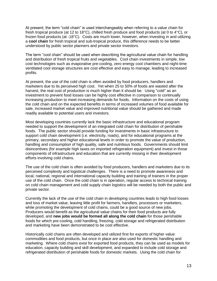At present, the term "cold chain" is used interchangeably when referring to a value chain for fresh tropical produce (at 12 to 18°C), chilled fresh produce and food products (at 0 to 4°C), or frozen food products (at -18°C). Costs are much lower, however, when investing in and utilizing a **cool chain** for fresh tropical and sub-tropical produce, this difference needs to be better understood by public sector planners and private sector investors.

The term "cool chain" should be used when describing the agricultural value chain for handling and distribution of fresh tropical fruits and vegetables. Cool chain investments in simple, low cost technologies such as evaporative pre-cooling, zero energy cool chambers and night-time ventilated cool storage structures are cost effective and easy to manage, leading to increased profits.

At present, the use of the cold chain is often avoided by food producers, handlers and marketers due to its perceived high cost. Yet when 25 to 50% of foods are wasted after the harvest, the real cost of production is much higher than it should be. Using "cold" as an investment to prevent food losses can be highly cost effective in comparison to continually increasing production to meet increasing demands for foods. Information on the costs of using the cold chain and on the expected benefits in terms of increased volumes of food available for sale, increased market value and improved nutritional value should be gathered and made readily available to potential users and investors.

Most developing countries currently lack the basic infrastructure and educational program needed to support the development of an integrated cold chain for distribution of perishable foods. The public sector should provide funding for investments in basic infrastructure to support cold chain development (i.e. electricity, roads), and for educational programs at the primary, secondary and higher educational levels in order to promote the value of production, handling and consumption of high quality, safe and nutritious foods. Governments should limit disincentives (for example high taxes on imported refrigeration equipment) and invest in those components of infrastructure and education that are currently missing in their development efforts involving cold chains.

The use of the cold chain is often avoided by food producers, handlers and marketers due to its perceived complexity and logistical challenges. There is a need to promote awareness and local, national, regional and international capacity building and training of trainers in the proper use of the cold chain. Once the cold chain is in operation, regular access to technical training on cold chain management and cold supply chain logistics will be needed by both the public and private sector.

Currently the lack of the use of the cold chain in developing countries leads to high food losses and loss of market value, leaving little profit for farmers, handlers, processors or marketers, while promoting the development of cold chains, could be a good source of new jobs. Producers would benefit as the agricultural value chains for their food products are fully developed, and **new jobs would be formed all along the cold chain** for those perishable foods for which pre-cooling, cold handling, freezing, cold storage and refrigerated distribution and marketing have been demonstrated to be cost effective.

Historically cold chains are often developed and utilized first for exports of higher value commodities and food products, but once in place are also used for domestic handling and marketing. Where cold chains exist for exported food products, they can be used as models for education, capacity building and skill development, and expanded to include cold storage and refrigerated distribution of perishable foods for domestic markets. Using the cold chain for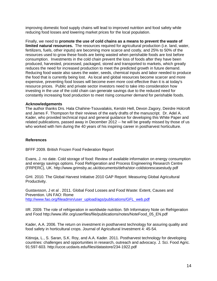improving domestic food supply chains will lead to improved nutrition and food safety while reducing food losses and lowering market prices for the local population.

Finally, we need to **promote the use of cold chains as a means to prevent the waste of limited natural resources.** The resources required for agricultural production (i.e. land, water, fertilizers, fuels, other inputs) are becoming more scarce and costly, and 25% to 50% of the resources used to grow these foods are being wasted when perishable foods are lost before consumption. Investments in the cold chain prevent the loss of foods after they have been produced, harvested, processed, packaged, stored and transported to markets, which greatly reduces the need for increased production to meet the predicted growth in future demand. Reducing food waste also saves the water, seeds, chemical inputs and labor needed to produce the food that is currently being lost. As local and global resources become scarcer and more expensive, preventing food losses will become even more cost effective than it is at today's resource prices. Public and private sector investors need to take into consideration how investing in the use of the cold chain can generate savings due to the reduced need for constantly increasing food production to meet rising consumer demand for perishable foods.

#### **Acknowledgements**

The author thanks Drs. Hala Chahine-Tsouvalakis, Kerstin Hell, Devon Zagory, Deirdre Holcroft and James F. Thompson for their reviews of the early drafts of the manuscript. Dr. Adel A. Kader, who provided technical input and general guidance for developing this White Paper and related publications, passed away in December 2012 -- he will be greatly missed by those of us who worked with him during the 40 years of his inspiring career in postharvest horticulture.

### **References**

BFFF 2009. British Frozen Food Federation Report

Evans, J. no date. Cold storage of food: Review of available information on energy consumption and energy savings options. Food Refrigeration and Process Engineering Research Centre (FRPERC), UK.<http://www.grimsby.ac.uk/documents/defra/stor-coldstorescasestudy.pdf>

GHI. 2010. The Global Harvest Initiative 2010 GAP Report: Measuring Global Agricultural Productivity.

Gustavsson, J et al . 2011. Global Food Losses and Food Waste: Extent, Causes and Prevention. UN FAO: Rome [http://www.fao.org/fileadmin/user\\_upload/ags/publications/GFL\\_web.pdf](http://www.fao.org/fileadmin/user_upload/ags/publications/GFL_web.pdf)

IIR. 2009. The role of refrigeration in worldwide nutrition. 5th Informatory Note on Refrigeration and Food [http://www.iifiir.org/userfiles/file/publications/notes/NoteFood\\_05\\_EN.pdf](http://www.iifiir.org/userfiles/file/publications/notes/NoteFood_05_EN.pdf)

Kader, A.A. 2006. The return on investment in postharvest technology for assuring quality and food safety in horticultural crops. Journal of Agricultural Investment 4: 45-54.

Kitinoja, L., S. Saran, S.K. Roy, and A.A. Kader. 2011. Postharvest technology for developing countries: challenges and opportunities in research, outreach and advocacy. J. Sci. Food Agric. 91:597-603.<http://ucce.ucdavis.edu/files/datastore/234-1922.pdf>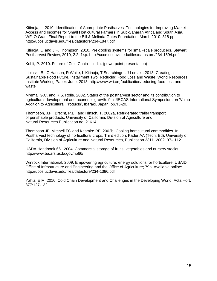Kitinoja, L. 2010. Identification of Appropriate Postharvest Technologies for Improving Market Access and Incomes for Small Horticultural Farmers in Sub-Saharan Africa and South Asia. WFLO Grant Final Report to the Bill & Melinda Gates Foundation, March 2010. 318 pp. http://ucce.ucdavis.edu/files/datastore/234-1847.pdf

Kitinoja, L. and J.F. Thompson. 2010. Pre-cooling systems for small-scale producers. Stewart Postharvest Review, 2010, 2:2, 14p.<http://ucce.ucdavis.edu/files/datastore/234-1594.pdf>

Kohli, P. 2010. Future of Cold Chain – India. (powerpoint presentation)

Lipinski, B., C Hanson, R Waite, L Kitinoja, T Searchinger, J Lomax,. 2013. [Creating a](http://www.wri.org/publication/reducing-food-loss-and-waste)  [Sustainable Food Future, Installment Two: Reducing Food Loss and Waste.](http://www.wri.org/publication/reducing-food-loss-and-waste) World Resources Institute Working Paper: June, 2013. http://www.wri.org/publication/reducing-food-loss-andwaste

Mrema, G.C. and R.S. Rolle. 2002. Status of the postharvest sector and its contribution to agricultural development and economic growth. 9th JIRCAS International Symposium on 'Value-Addition to Agricultural Products', Ibaraki, Japan, pp.13-20.

Thompson, J.F., Brecht, P.E., and Hinsch, T. 2002a, Refrigerated trailer transport of perishable products. University of California, Division of Agriculture and Natural Resources Publication no. 21614.

Thompson JF, Mitchell FG and Kasmire RF. 2002b. Cooling horticultural commodities. In Postharvest technology of horticultural crops, Third edition, Kader AA (Tech. Ed). University of California, Division of Agriculture and Natural Resources, Publication 3311. 2002: 97– 112.

USDA Handbook 66. 2004. Commercial storage of fruits, vegetables and nursery stocks. <http://www.ba.ars.usda.gov/hb66/>

Winrock International. 2009. Empowering agriculture: energy solutions for horticulture. USAID Office of Infrastructure and Engineering and the Office of Agriculture; 79p. Available online: <http://ucce.ucdavis.edu/files/datastore/234-1386.pdf>

Yahia, E.M. 2010. Cold Chain Development and Challenges in the Developing World. Acta Hort. 877:127-132.